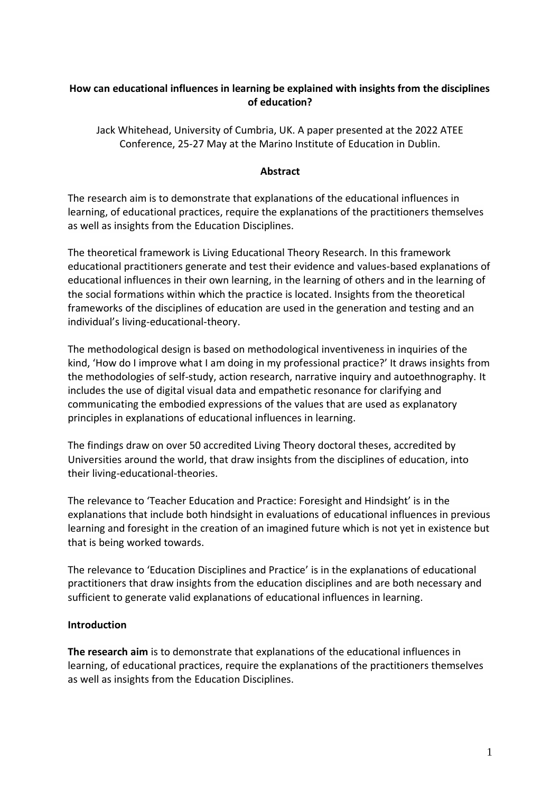# **How can educational influences in learning be explained with insights from the disciplines of education?**

Jack Whitehead, University of Cumbria, UK. A paper presented at the 2022 ATEE Conference, 25-27 May at the Marino Institute of Education in Dublin.

## **Abstract**

The research aim is to demonstrate that explanations of the educational influences in learning, of educational practices, require the explanations of the practitioners themselves as well as insights from the Education Disciplines.

The theoretical framework is Living Educational Theory Research. In this framework educational practitioners generate and test their evidence and values-based explanations of educational influences in their own learning, in the learning of others and in the learning of the social formations within which the practice is located. Insights from the theoretical frameworks of the disciplines of education are used in the generation and testing and an individual's living-educational-theory.

The methodological design is based on methodological inventiveness in inquiries of the kind, 'How do I improve what I am doing in my professional practice?' It draws insights from the methodologies of self-study, action research, narrative inquiry and autoethnography. It includes the use of digital visual data and empathetic resonance for clarifying and communicating the embodied expressions of the values that are used as explanatory principles in explanations of educational influences in learning.

The findings draw on over 50 accredited Living Theory doctoral theses, accredited by Universities around the world, that draw insights from the disciplines of education, into their living-educational-theories.

The relevance to 'Teacher Education and Practice: Foresight and Hindsight' is in the explanations that include both hindsight in evaluations of educational influences in previous learning and foresight in the creation of an imagined future which is not yet in existence but that is being worked towards.

The relevance to 'Education Disciplines and Practice' is in the explanations of educational practitioners that draw insights from the education disciplines and are both necessary and sufficient to generate valid explanations of educational influences in learning.

# **Introduction**

**The research aim** is to demonstrate that explanations of the educational influences in learning, of educational practices, require the explanations of the practitioners themselves as well as insights from the Education Disciplines.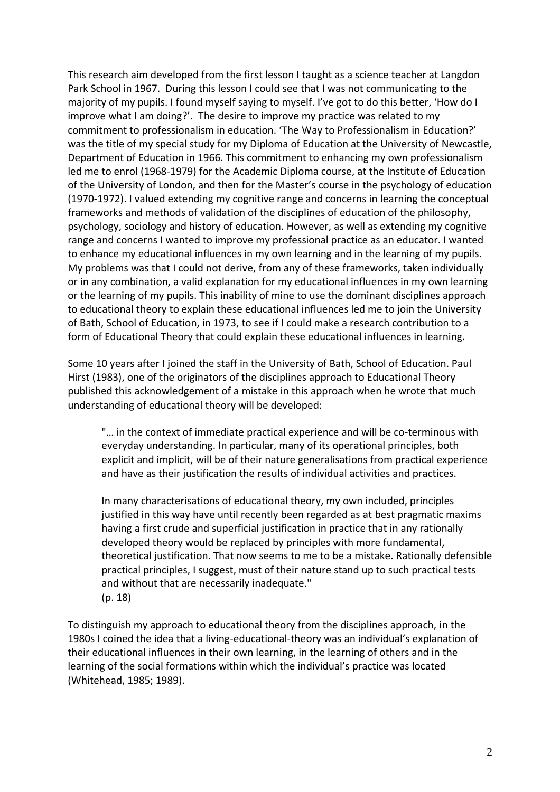This research aim developed from the first lesson I taught as a science teacher at Langdon Park School in 1967. During this lesson I could see that I was not communicating to the majority of my pupils. I found myself saying to myself. I've got to do this better, 'How do I improve what I am doing?'. The desire to improve my practice was related to my commitment to professionalism in education. 'The Way to Professionalism in Education?' was the title of my special study for my Diploma of Education at the University of Newcastle, Department of Education in 1966. This commitment to enhancing my own professionalism led me to enrol (1968-1979) for the Academic Diploma course, at the Institute of Education of the University of London, and then for the Master's course in the psychology of education (1970-1972). I valued extending my cognitive range and concerns in learning the conceptual frameworks and methods of validation of the disciplines of education of the philosophy, psychology, sociology and history of education. However, as well as extending my cognitive range and concerns I wanted to improve my professional practice as an educator. I wanted to enhance my educational influences in my own learning and in the learning of my pupils. My problems was that I could not derive, from any of these frameworks, taken individually or in any combination, a valid explanation for my educational influences in my own learning or the learning of my pupils. This inability of mine to use the dominant disciplines approach to educational theory to explain these educational influences led me to join the University of Bath, School of Education, in 1973, to see if I could make a research contribution to a form of Educational Theory that could explain these educational influences in learning.

Some 10 years after I joined the staff in the University of Bath, School of Education. Paul Hirst (1983), one of the originators of the disciplines approach to Educational Theory published this acknowledgement of a mistake in this approach when he wrote that much understanding of educational theory will be developed:

"… in the context of immediate practical experience and will be co-terminous with everyday understanding. In particular, many of its operational principles, both explicit and implicit, will be of their nature generalisations from practical experience and have as their justification the results of individual activities and practices.

In many characterisations of educational theory, my own included, principles justified in this way have until recently been regarded as at best pragmatic maxims having a first crude and superficial justification in practice that in any rationally developed theory would be replaced by principles with more fundamental, theoretical justification. That now seems to me to be a mistake. Rationally defensible practical principles, I suggest, must of their nature stand up to such practical tests and without that are necessarily inadequate." (p. 18)

To distinguish my approach to educational theory from the disciplines approach, in the 1980s I coined the idea that a living-educational-theory was an individual's explanation of their educational influences in their own learning, in the learning of others and in the learning of the social formations within which the individual's practice was located (Whitehead, 1985; 1989).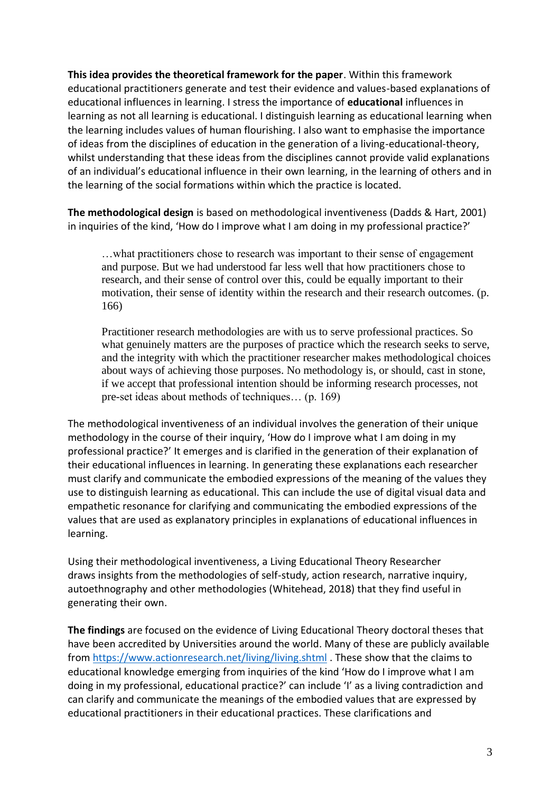**This idea provides the theoretical framework for the paper**. Within this framework educational practitioners generate and test their evidence and values-based explanations of educational influences in learning. I stress the importance of **educational** influences in learning as not all learning is educational. I distinguish learning as educational learning when the learning includes values of human flourishing. I also want to emphasise the importance of ideas from the disciplines of education in the generation of a living-educational-theory, whilst understanding that these ideas from the disciplines cannot provide valid explanations of an individual's educational influence in their own learning, in the learning of others and in the learning of the social formations within which the practice is located.

**The methodological design** is based on methodological inventiveness (Dadds & Hart, 2001) in inquiries of the kind, 'How do I improve what I am doing in my professional practice?'

…what practitioners chose to research was important to their sense of engagement and purpose. But we had understood far less well that how practitioners chose to research, and their sense of control over this, could be equally important to their motivation, their sense of identity within the research and their research outcomes. (p. 166)

Practitioner research methodologies are with us to serve professional practices. So what genuinely matters are the purposes of practice which the research seeks to serve, and the integrity with which the practitioner researcher makes methodological choices about ways of achieving those purposes. No methodology is, or should, cast in stone, if we accept that professional intention should be informing research processes, not pre-set ideas about methods of techniques… (p. 169)

The methodological inventiveness of an individual involves the generation of their unique methodology in the course of their inquiry, 'How do I improve what I am doing in my professional practice?' It emerges and is clarified in the generation of their explanation of their educational influences in learning. In generating these explanations each researcher must clarify and communicate the embodied expressions of the meaning of the values they use to distinguish learning as educational. This can include the use of digital visual data and empathetic resonance for clarifying and communicating the embodied expressions of the values that are used as explanatory principles in explanations of educational influences in learning.

Using their methodological inventiveness, a Living Educational Theory Researcher draws insights from the methodologies of self-study, action research, narrative inquiry, autoethnography and other methodologies (Whitehead, 2018) that they find useful in generating their own.

**The findings** are focused on the evidence of Living Educational Theory doctoral theses that have been accredited by Universities around the world. Many of these are publicly available from<https://www.actionresearch.net/living/living.shtml> . These show that the claims to educational knowledge emerging from inquiries of the kind 'How do I improve what I am doing in my professional, educational practice?' can include 'I' as a living contradiction and can clarify and communicate the meanings of the embodied values that are expressed by educational practitioners in their educational practices. These clarifications and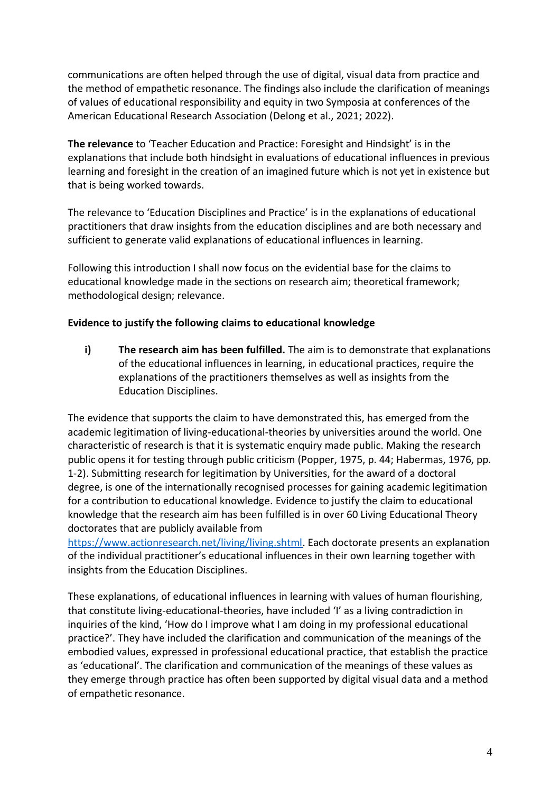communications are often helped through the use of digital, visual data from practice and the method of empathetic resonance. The findings also include the clarification of meanings of values of educational responsibility and equity in two Symposia at conferences of the American Educational Research Association (Delong et al., 2021; 2022).

**The relevance** to 'Teacher Education and Practice: Foresight and Hindsight' is in the explanations that include both hindsight in evaluations of educational influences in previous learning and foresight in the creation of an imagined future which is not yet in existence but that is being worked towards.

The relevance to 'Education Disciplines and Practice' is in the explanations of educational practitioners that draw insights from the education disciplines and are both necessary and sufficient to generate valid explanations of educational influences in learning.

Following this introduction I shall now focus on the evidential base for the claims to educational knowledge made in the sections on research aim; theoretical framework; methodological design; relevance.

# **Evidence to justify the following claims to educational knowledge**

**i) The research aim has been fulfilled.** The aim is to demonstrate that explanations of the educational influences in learning, in educational practices, require the explanations of the practitioners themselves as well as insights from the Education Disciplines.

The evidence that supports the claim to have demonstrated this, has emerged from the academic legitimation of living-educational-theories by universities around the world. One characteristic of research is that it is systematic enquiry made public. Making the research public opens it for testing through public criticism (Popper, 1975, p. 44; Habermas, 1976, pp. 1-2). Submitting research for legitimation by Universities, for the award of a doctoral degree, is one of the internationally recognised processes for gaining academic legitimation for a contribution to educational knowledge. Evidence to justify the claim to educational knowledge that the research aim has been fulfilled is in over 60 Living Educational Theory doctorates that are publicly available from

[https://www.actionresearch.net/living/living.shtml.](https://www.actionresearch.net/living/living.shtml) Each doctorate presents an explanation of the individual practitioner's educational influences in their own learning together with insights from the Education Disciplines.

These explanations, of educational influences in learning with values of human flourishing, that constitute living-educational-theories, have included 'I' as a living contradiction in inquiries of the kind, 'How do I improve what I am doing in my professional educational practice?'. They have included the clarification and communication of the meanings of the embodied values, expressed in professional educational practice, that establish the practice as 'educational'. The clarification and communication of the meanings of these values as they emerge through practice has often been supported by digital visual data and a method of empathetic resonance.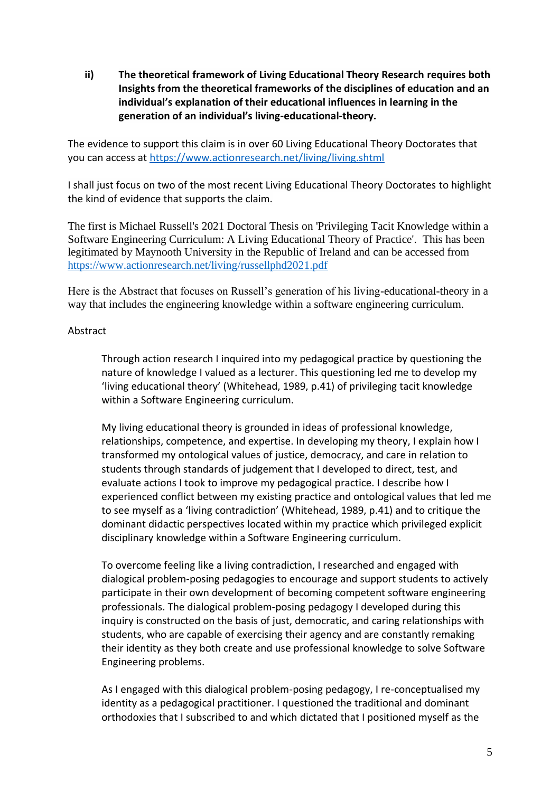**ii) The theoretical framework of Living Educational Theory Research requires both Insights from the theoretical frameworks of the disciplines of education and an individual's explanation of their educational influences in learning in the generation of an individual's living-educational-theory.**

The evidence to support this claim is in over 60 Living Educational Theory Doctorates that you can access at<https://www.actionresearch.net/living/living.shtml>

I shall just focus on two of the most recent Living Educational Theory Doctorates to highlight the kind of evidence that supports the claim.

The first is Michael Russell's 2021 Doctoral Thesis on 'Privileging Tacit Knowledge within a Software Engineering Curriculum: A Living Educational Theory of Practice'. This has been legitimated by Maynooth University in the Republic of Ireland and can be accessed from <https://www.actionresearch.net/living/russellphd2021.pdf>

Here is the Abstract that focuses on Russell's generation of his living-educational-theory in a way that includes the engineering knowledge within a software engineering curriculum.

## Abstract

Through action research I inquired into my pedagogical practice by questioning the nature of knowledge I valued as a lecturer. This questioning led me to develop my 'living educational theory' (Whitehead, 1989, p.41) of privileging tacit knowledge within a Software Engineering curriculum.

My living educational theory is grounded in ideas of professional knowledge, relationships, competence, and expertise. In developing my theory, I explain how I transformed my ontological values of justice, democracy, and care in relation to students through standards of judgement that I developed to direct, test, and evaluate actions I took to improve my pedagogical practice. I describe how I experienced conflict between my existing practice and ontological values that led me to see myself as a 'living contradiction' (Whitehead, 1989, p.41) and to critique the dominant didactic perspectives located within my practice which privileged explicit disciplinary knowledge within a Software Engineering curriculum.

To overcome feeling like a living contradiction, I researched and engaged with dialogical problem-posing pedagogies to encourage and support students to actively participate in their own development of becoming competent software engineering professionals. The dialogical problem-posing pedagogy I developed during this inquiry is constructed on the basis of just, democratic, and caring relationships with students, who are capable of exercising their agency and are constantly remaking their identity as they both create and use professional knowledge to solve Software Engineering problems.

As I engaged with this dialogical problem-posing pedagogy, I re-conceptualised my identity as a pedagogical practitioner. I questioned the traditional and dominant orthodoxies that I subscribed to and which dictated that I positioned myself as the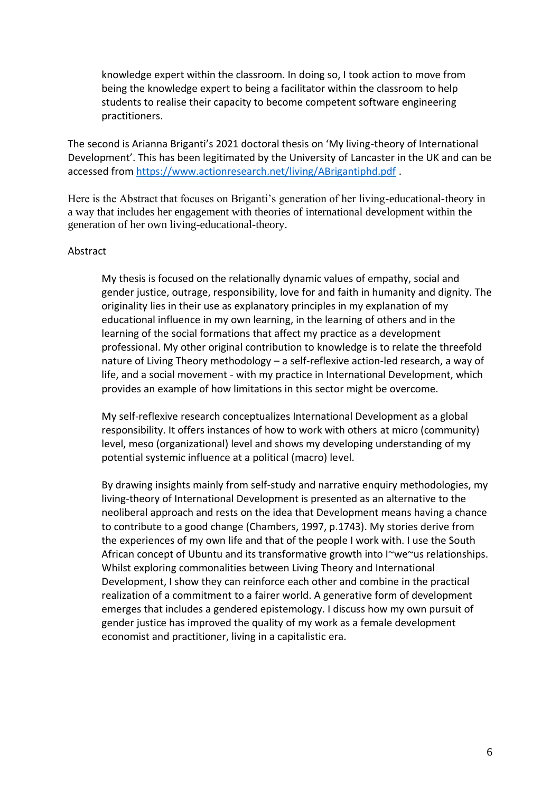knowledge expert within the classroom. In doing so, I took action to move from being the knowledge expert to being a facilitator within the classroom to help students to realise their capacity to become competent software engineering practitioners.

The second is Arianna Briganti's 2021 doctoral thesis on 'My living-theory of International Development'. This has been legitimated by the University of Lancaster in the UK and can be accessed fro[m https://www.actionresearch.net/living/ABrigantiphd.pdf](https://www.actionresearch.net/living/ABrigantiphd.pdf).

Here is the Abstract that focuses on Briganti's generation of her living-educational-theory in a way that includes her engagement with theories of international development within the generation of her own living-educational-theory.

#### Abstract

My thesis is focused on the relationally dynamic values of empathy, social and gender justice, outrage, responsibility, love for and faith in humanity and dignity. The originality lies in their use as explanatory principles in my explanation of my educational influence in my own learning, in the learning of others and in the learning of the social formations that affect my practice as a development professional. My other original contribution to knowledge is to relate the threefold nature of Living Theory methodology – a self-reflexive action-led research, a way of life, and a social movement - with my practice in International Development, which provides an example of how limitations in this sector might be overcome.

My self-reflexive research conceptualizes International Development as a global responsibility. It offers instances of how to work with others at micro (community) level, meso (organizational) level and shows my developing understanding of my potential systemic influence at a political (macro) level.

By drawing insights mainly from self-study and narrative enquiry methodologies, my living-theory of International Development is presented as an alternative to the neoliberal approach and rests on the idea that Development means having a chance to contribute to a good change (Chambers, 1997, p.1743). My stories derive from the experiences of my own life and that of the people I work with. I use the South African concept of Ubuntu and its transformative growth into I~we~us relationships. Whilst exploring commonalities between Living Theory and International Development, I show they can reinforce each other and combine in the practical realization of a commitment to a fairer world. A generative form of development emerges that includes a gendered epistemology. I discuss how my own pursuit of gender justice has improved the quality of my work as a female development economist and practitioner, living in a capitalistic era.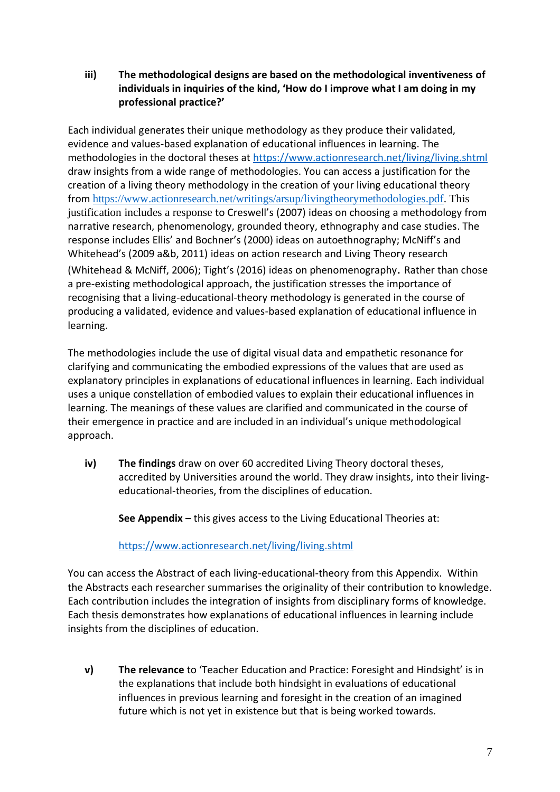**iii) The methodological designs are based on the methodological inventiveness of individuals in inquiries of the kind, 'How do I improve what I am doing in my professional practice?'** 

Each individual generates their unique methodology as they produce their validated, evidence and values-based explanation of educational influences in learning. The methodologies in the doctoral theses at<https://www.actionresearch.net/living/living.shtml> draw insights from a wide range of methodologies. You can access a justification for the creation of a living theory methodology in the creation of your living educational theory from [https://www.actionresearch.net/writings/arsup/livingtheorymethodologies.pdf.](https://www.actionresearch.net/writings/arsup/livingtheorymethodologies.pdf) This justification includes a response to Creswell's (2007) ideas on choosing a methodology from narrative research, phenomenology, grounded theory, ethnography and case studies. The response includes Ellis' and Bochner's (2000) ideas on autoethnography; McNiff's and Whitehead's (2009 a&b, 2011) ideas on action research and Living Theory research (Whitehead & McNiff, 2006); Tight's (2016) ideas on phenomenography. Rather than chose a pre-existing methodological approach, the justification stresses the importance of recognising that a living-educational-theory methodology is generated in the course of producing a validated, evidence and values-based explanation of educational influence in learning.

The methodologies include the use of digital visual data and empathetic resonance for clarifying and communicating the embodied expressions of the values that are used as explanatory principles in explanations of educational influences in learning. Each individual uses a unique constellation of embodied values to explain their educational influences in learning. The meanings of these values are clarified and communicated in the course of their emergence in practice and are included in an individual's unique methodological approach.

**iv) The findings** draw on over 60 accredited Living Theory doctoral theses, accredited by Universities around the world. They draw insights, into their livingeducational-theories, from the disciplines of education.

**See Appendix –** this gives access to the Living Educational Theories at:

<https://www.actionresearch.net/living/living.shtml>

You can access the Abstract of each living-educational-theory from this Appendix. Within the Abstracts each researcher summarises the originality of their contribution to knowledge. Each contribution includes the integration of insights from disciplinary forms of knowledge. Each thesis demonstrates how explanations of educational influences in learning include insights from the disciplines of education.

**v) The relevance** to 'Teacher Education and Practice: Foresight and Hindsight' is in the explanations that include both hindsight in evaluations of educational influences in previous learning and foresight in the creation of an imagined future which is not yet in existence but that is being worked towards.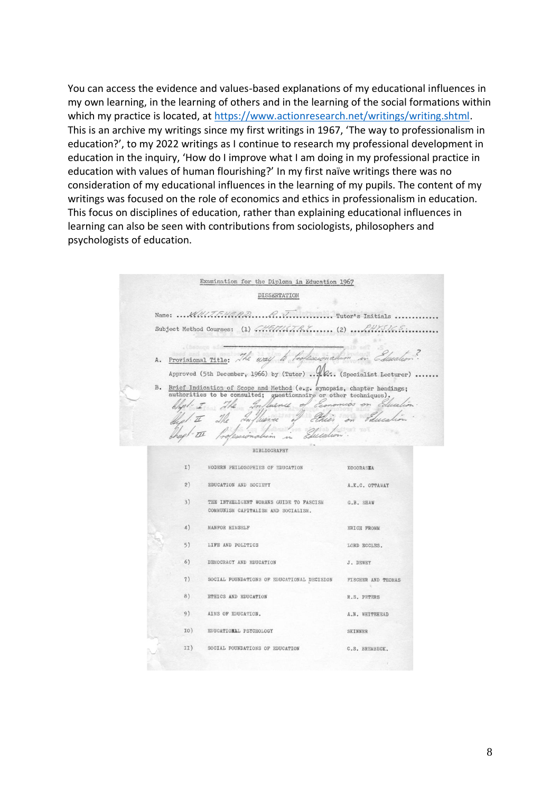You can access the evidence and values-based explanations of my educational influences in my own learning, in the learning of others and in the learning of the social formations within which my practice is located, at [https://www.actionresearch.net/writings/writing.shtml.](https://www.actionresearch.net/writings/writing.shtml) This is an archive my writings since my first writings in 1967, 'The way to professionalism in education?', to my 2022 writings as I continue to research my professional development in education in the inquiry, 'How do I improve what I am doing in my professional practice in education with values of human flourishing?' In my first naïve writings there was no consideration of my educational influences in the learning of my pupils. The content of my writings was focused on the role of economics and ethics in professionalism in education. This focus on disciplines of education, rather than explaining educational influences in learning can also be seen with contributions from sociologists, philosophers and psychologists of education.

|                                    | Examination for the Diploma in Education 1967              |                                                                                                                                               |                                                                                |                           |  |
|------------------------------------|------------------------------------------------------------|-----------------------------------------------------------------------------------------------------------------------------------------------|--------------------------------------------------------------------------------|---------------------------|--|
|                                    | DISSERTATION<br>Name:  W.U. I.F.HER.D.<br>Tutor's Initials |                                                                                                                                               |                                                                                |                           |  |
|                                    |                                                            |                                                                                                                                               |                                                                                |                           |  |
|                                    |                                                            |                                                                                                                                               |                                                                                |                           |  |
| Subject Method Courses: (1)<br>(2) |                                                            |                                                                                                                                               |                                                                                |                           |  |
|                                    |                                                            |                                                                                                                                               |                                                                                |                           |  |
|                                    | A.                                                         | Provisional Title:                                                                                                                            | siona<br>ura                                                                   |                           |  |
|                                    |                                                            |                                                                                                                                               | Approved (5th December, 1966) by (Tutor)  (S. (Specialist Lecturer)            |                           |  |
|                                    | <b>B.</b>                                                  | Brief Indication of Scope and Method (e.g. synopsis, chapter headings;<br>authorities to be consulted;<br>questionnaire or other techniques). |                                                                                |                           |  |
|                                    |                                                            |                                                                                                                                               | uence                                                                          | nicos<br>$\mathcal{O}n$   |  |
|                                    |                                                            |                                                                                                                                               | Wen. ex<br>(Vo)                                                                |                           |  |
|                                    |                                                            |                                                                                                                                               | Intron                                                                         |                           |  |
| <b>BIBLIOGRAPHY</b>                |                                                            |                                                                                                                                               |                                                                                |                           |  |
|                                    |                                                            | I)                                                                                                                                            | MODERN PHILOSOPHIES OF EDUCATION                                               | KOGORASEA                 |  |
|                                    |                                                            | 2)                                                                                                                                            | EDUCATION AND SOCIETY                                                          | A.K.C. OTTAWAY            |  |
|                                    |                                                            | 3)                                                                                                                                            | THE INTEELIGENT WOMANS GUIDE TO FASCISM<br>COMMUNISM CAPITALISM AND SOCIALISM. | G.B. SHAW                 |  |
|                                    |                                                            | 4)                                                                                                                                            | <b>MANFOR HIMSELF</b>                                                          | <b>ERICH FROMM</b>        |  |
|                                    |                                                            | 5)                                                                                                                                            | LIFE AND POLITICS                                                              | LORD ECCLES.              |  |
|                                    |                                                            | 6)                                                                                                                                            | DEMOCRACY AND EDUCATION                                                        | J. DEWEY                  |  |
|                                    |                                                            | 7)                                                                                                                                            | SOCIAL FOUNDATIONS OF EDUCATIONAL DECISION                                     | <b>FISCHER AND THOMAS</b> |  |
|                                    |                                                            | 8)                                                                                                                                            | <b>ETHICS AND EDUCATION</b>                                                    | R.S. PETERS               |  |
|                                    |                                                            | 9)                                                                                                                                            | AIMS OF EDUCATION.                                                             | A.N. WHITEHEAD            |  |
|                                    |                                                            | IO)                                                                                                                                           | EDUCATIONAL PSYCHOLOGY                                                         | <b>SKINNER</b>            |  |
|                                    |                                                            | II)                                                                                                                                           | SOCIAL FOUNDATIONS OF EDUCATION                                                | C.S. BREWBECK.            |  |
|                                    |                                                            |                                                                                                                                               |                                                                                |                           |  |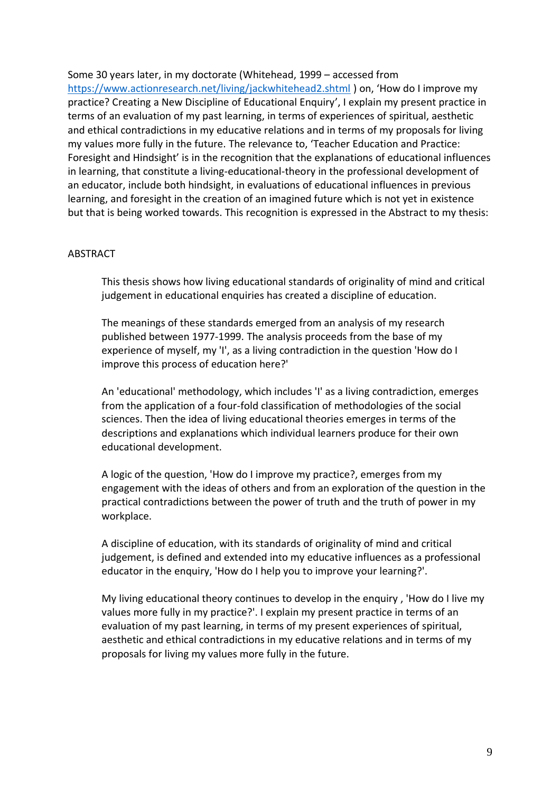Some 30 years later, in my doctorate (Whitehead, 1999 – accessed from <https://www.actionresearch.net/living/jackwhitehead2.shtml> ) on, 'How do I improve my practice? Creating a New Discipline of Educational Enquiry', I explain my present practice in terms of an evaluation of my past learning, in terms of experiences of spiritual, aesthetic and ethical contradictions in my educative relations and in terms of my proposals for living my values more fully in the future. The relevance to, 'Teacher Education and Practice: Foresight and Hindsight' is in the recognition that the explanations of educational influences in learning, that constitute a living-educational-theory in the professional development of an educator, include both hindsight, in evaluations of educational influences in previous learning, and foresight in the creation of an imagined future which is not yet in existence but that is being worked towards. This recognition is expressed in the Abstract to my thesis:

#### **ABSTRACT**

This thesis shows how living educational standards of originality of mind and critical judgement in educational enquiries has created a discipline of education.

The meanings of these standards emerged from an analysis of my research published between 1977-1999. The analysis proceeds from the base of my experience of myself, my 'I', as a living contradiction in the question 'How do I improve this process of education here?'

An 'educational' methodology, which includes 'I' as a living contradiction, emerges from the application of a four-fold classification of methodologies of the social sciences. Then the idea of living educational theories emerges in terms of the descriptions and explanations which individual learners produce for their own educational development.

A logic of the question, 'How do I improve my practice?, emerges from my engagement with the ideas of others and from an exploration of the question in the practical contradictions between the power of truth and the truth of power in my workplace.

A discipline of education, with its standards of originality of mind and critical judgement, is defined and extended into my educative influences as a professional educator in the enquiry, 'How do I help you to improve your learning?'.

My living educational theory continues to develop in the enquiry , 'How do I live my values more fully in my practice?'. I explain my present practice in terms of an evaluation of my past learning, in terms of my present experiences of spiritual, aesthetic and ethical contradictions in my educative relations and in terms of my proposals for living my values more fully in the future.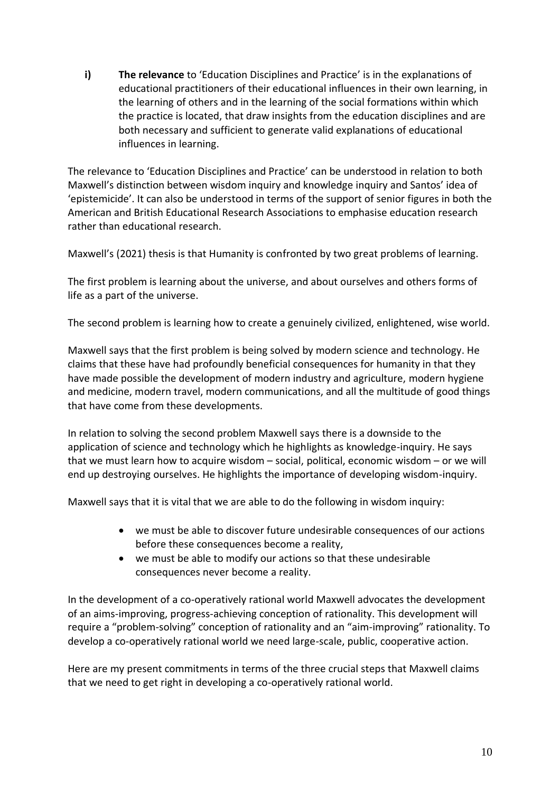**i) The relevance** to 'Education Disciplines and Practice' is in the explanations of educational practitioners of their educational influences in their own learning, in the learning of others and in the learning of the social formations within which the practice is located, that draw insights from the education disciplines and are both necessary and sufficient to generate valid explanations of educational influences in learning.

The relevance to 'Education Disciplines and Practice' can be understood in relation to both Maxwell's distinction between wisdom inquiry and knowledge inquiry and Santos' idea of 'epistemicide'. It can also be understood in terms of the support of senior figures in both the American and British Educational Research Associations to emphasise education research rather than educational research.

Maxwell's (2021) thesis is that Humanity is confronted by two great problems of learning.

The first problem is learning about the universe, and about ourselves and others forms of life as a part of the universe.

The second problem is learning how to create a genuinely civilized, enlightened, wise world.

Maxwell says that the first problem is being solved by modern science and technology. He claims that these have had profoundly beneficial consequences for humanity in that they have made possible the development of modern industry and agriculture, modern hygiene and medicine, modern travel, modern communications, and all the multitude of good things that have come from these developments.

In relation to solving the second problem Maxwell says there is a downside to the application of science and technology which he highlights as knowledge-inquiry. He says that we must learn how to acquire wisdom – social, political, economic wisdom – or we will end up destroying ourselves. He highlights the importance of developing wisdom-inquiry.

Maxwell says that it is vital that we are able to do the following in wisdom inquiry:

- we must be able to discover future undesirable consequences of our actions before these consequences become a reality,
- we must be able to modify our actions so that these undesirable consequences never become a reality.

In the development of a co-operatively rational world Maxwell advocates the development of an aims-improving, progress-achieving conception of rationality. This development will require a "problem-solving" conception of rationality and an "aim-improving" rationality. To develop a co-operatively rational world we need large-scale, public, cooperative action.

Here are my present commitments in terms of the three crucial steps that Maxwell claims that we need to get right in developing a co-operatively rational world.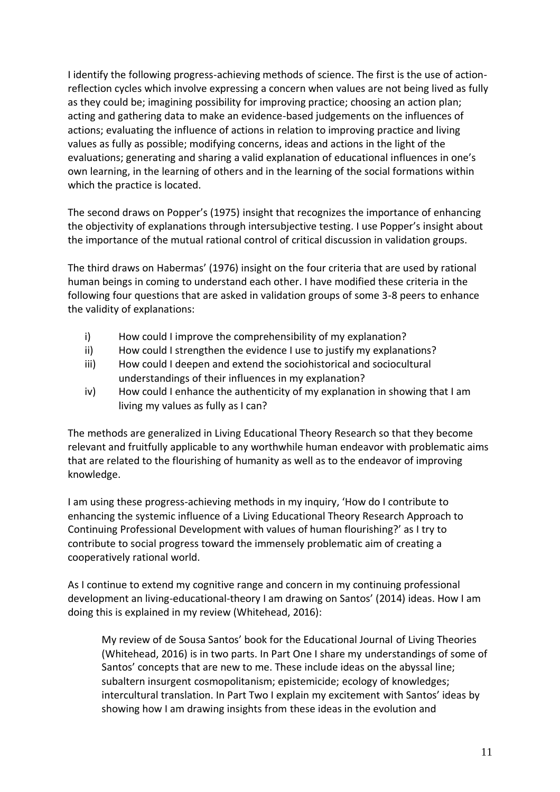I identify the following progress-achieving methods of science. The first is the use of actionreflection cycles which involve expressing a concern when values are not being lived as fully as they could be; imagining possibility for improving practice; choosing an action plan; acting and gathering data to make an evidence-based judgements on the influences of actions; evaluating the influence of actions in relation to improving practice and living values as fully as possible; modifying concerns, ideas and actions in the light of the evaluations; generating and sharing a valid explanation of educational influences in one's own learning, in the learning of others and in the learning of the social formations within which the practice is located.

The second draws on Popper's (1975) insight that recognizes the importance of enhancing the objectivity of explanations through intersubjective testing. I use Popper's insight about the importance of the mutual rational control of critical discussion in validation groups.

The third draws on Habermas' (1976) insight on the four criteria that are used by rational human beings in coming to understand each other. I have modified these criteria in the following four questions that are asked in validation groups of some 3-8 peers to enhance the validity of explanations:

- i) How could I improve the comprehensibility of my explanation?
- ii) How could I strengthen the evidence I use to justify my explanations?
- iii) How could I deepen and extend the sociohistorical and sociocultural understandings of their influences in my explanation?
- iv) How could I enhance the authenticity of my explanation in showing that I am living my values as fully as I can?

The methods are generalized in Living Educational Theory Research so that they become relevant and fruitfully applicable to any worthwhile human endeavor with problematic aims that are related to the flourishing of humanity as well as to the endeavor of improving knowledge.

I am using these progress-achieving methods in my inquiry, 'How do I contribute to enhancing the systemic influence of a Living Educational Theory Research Approach to Continuing Professional Development with values of human flourishing?' as I try to contribute to social progress toward the immensely problematic aim of creating a cooperatively rational world.

As I continue to extend my cognitive range and concern in my continuing professional development an living-educational-theory I am drawing on Santos' (2014) ideas. How I am doing this is explained in my review (Whitehead, 2016):

My review of de Sousa Santos' book for the Educational Journal of Living Theories (Whitehead, 2016) is in two parts. In Part One I share my understandings of some of Santos' concepts that are new to me. These include ideas on the abyssal line; subaltern insurgent cosmopolitanism; epistemicide; ecology of knowledges; intercultural translation. In Part Two I explain my excitement with Santos' ideas by showing how I am drawing insights from these ideas in the evolution and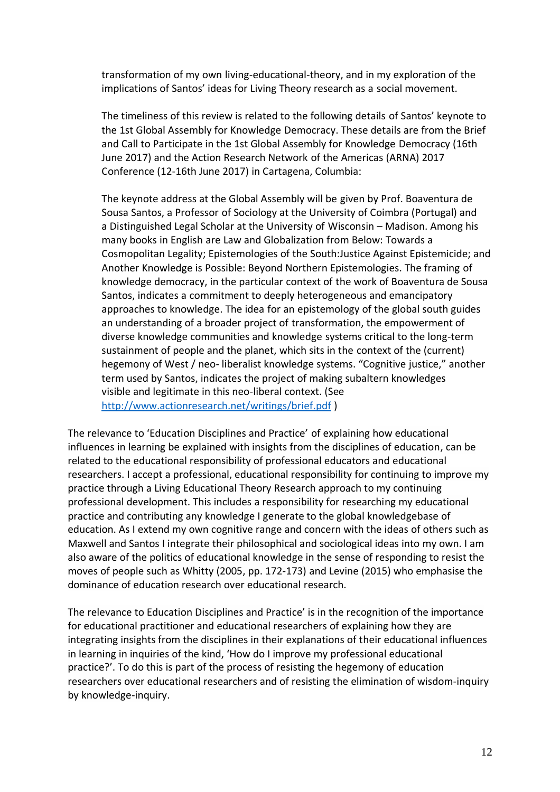transformation of my own living-educational-theory, and in my exploration of the implications of Santos' ideas for Living Theory research as a social movement.

The timeliness of this review is related to the following details of Santos' keynote to the 1st Global Assembly for Knowledge Democracy. These details are from the Brief and Call to Participate in the 1st Global Assembly for Knowledge Democracy (16th June 2017) and the Action Research Network of the Americas (ARNA) 2017 Conference (12-16th June 2017) in Cartagena, Columbia:

The keynote address at the Global Assembly will be given by Prof. Boaventura de Sousa Santos, a Professor of Sociology at the University of Coimbra (Portugal) and a Distinguished Legal Scholar at the University of Wisconsin – Madison. Among his many books in English are Law and Globalization from Below: Towards a Cosmopolitan Legality; Epistemologies of the South:Justice Against Epistemicide; and Another Knowledge is Possible: Beyond Northern Epistemologies. The framing of knowledge democracy, in the particular context of the work of Boaventura de Sousa Santos, indicates a commitment to deeply heterogeneous and emancipatory approaches to knowledge. The idea for an epistemology of the global south guides an understanding of a broader project of transformation, the empowerment of diverse knowledge communities and knowledge systems critical to the long-term sustainment of people and the planet, which sits in the context of the (current) hegemony of West / neo- liberalist knowledge systems. "Cognitive justice," another term used by Santos, indicates the project of making subaltern knowledges visible and legitimate in this neo-liberal context. (See <http://www.actionresearch.net/writings/brief.pdf> )

The relevance to 'Education Disciplines and Practice' of explaining how educational influences in learning be explained with insights from the disciplines of education, can be related to the educational responsibility of professional educators and educational researchers. I accept a professional, educational responsibility for continuing to improve my practice through a Living Educational Theory Research approach to my continuing professional development. This includes a responsibility for researching my educational practice and contributing any knowledge I generate to the global knowledgebase of education. As I extend my own cognitive range and concern with the ideas of others such as Maxwell and Santos I integrate their philosophical and sociological ideas into my own. I am also aware of the politics of educational knowledge in the sense of responding to resist the moves of people such as Whitty (2005, pp. 172-173) and Levine (2015) who emphasise the dominance of education research over educational research.

The relevance to Education Disciplines and Practice' is in the recognition of the importance for educational practitioner and educational researchers of explaining how they are integrating insights from the disciplines in their explanations of their educational influences in learning in inquiries of the kind, 'How do I improve my professional educational practice?'. To do this is part of the process of resisting the hegemony of education researchers over educational researchers and of resisting the elimination of wisdom-inquiry by knowledge-inquiry.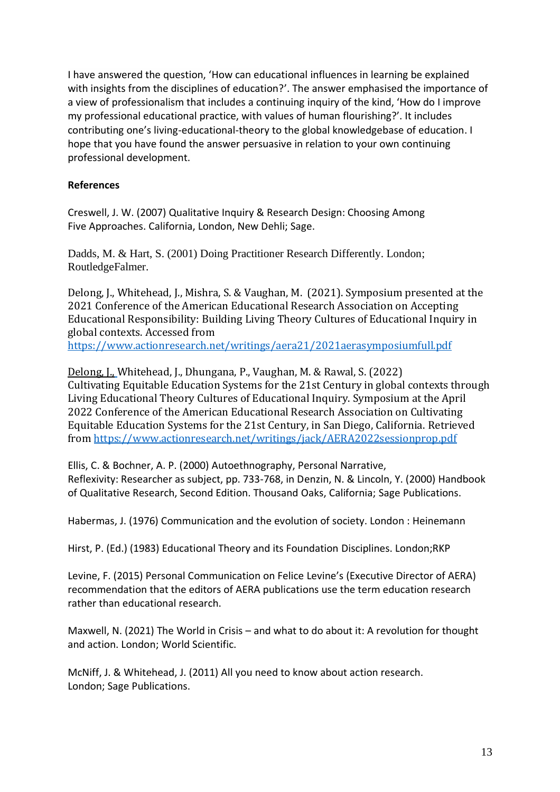I have answered the question, 'How can educational influences in learning be explained with insights from the disciplines of education?'. The answer emphasised the importance of a view of professionalism that includes a continuing inquiry of the kind, 'How do I improve my professional educational practice, with values of human flourishing?'. It includes contributing one's living-educational-theory to the global knowledgebase of education. I hope that you have found the answer persuasive in relation to your own continuing professional development.

## **References**

Creswell, J. W. (2007) Qualitative Inquiry & Research Design: Choosing Among Five Approaches. California, London, New Dehli; Sage.

Dadds, M. & Hart, S. (2001) Doing Practitioner Research Differently. London; RoutledgeFalmer.

Delong, J., Whitehead, J., Mishra, S. & Vaughan, M. (2021). Symposium presented at the 2021 Conference of the American Educational Research Association on Accepting Educational Responsibility: Building Living Theory Cultures of Educational Inquiry in global contexts. Accessed from

<https://www.actionresearch.net/writings/aera21/2021aerasymposiumfull.pdf>

Delong, J., Whitehead, J., Dhungana, P., Vaughan, M. & Rawal, S. (2022) Cultivating Equitable Education Systems for the 21st Century in global contexts through Living Educational Theory Cultures of Educational Inquiry. Symposium at the April 2022 Conference of the American Educational Research Association on Cultivating Equitable Education Systems for the 21st Century, in San Diego, California. Retrieved from <https://www.actionresearch.net/writings/jack/AERA2022sessionprop.pdf>

Ellis, C. & Bochner, A. P. (2000) Autoethnography, Personal Narrative, Reflexivity: Researcher as subject, pp. 733-768, in Denzin, N. & Lincoln, Y. (2000) Handbook of Qualitative Research, Second Edition. Thousand Oaks, California; Sage Publications.

Habermas, J. (1976) Communication and the evolution of society. London : Heinemann

Hirst, P. (Ed.) (1983) Educational Theory and its Foundation Disciplines. London;RKP

Levine, F. (2015) Personal Communication on Felice Levine's (Executive Director of AERA) recommendation that the editors of AERA publications use the term education research rather than educational research.

Maxwell, N. (2021) The World in Crisis – and what to do about it: A revolution for thought and action. London; World Scientific.

McNiff, J. & Whitehead, J. (2011) All you need to know about action research. London; Sage Publications.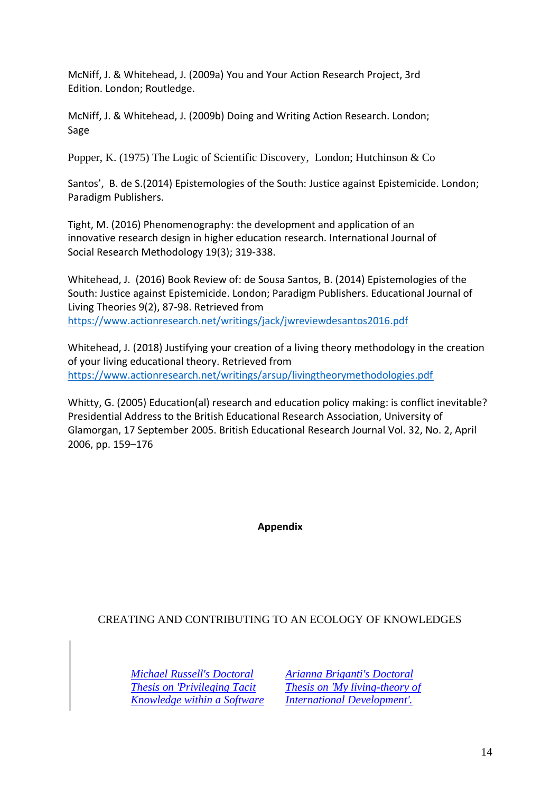McNiff, J. & Whitehead, J. (2009a) You and Your Action Research Project, 3rd Edition. London; Routledge.

McNiff, J. & Whitehead, J. (2009b) Doing and Writing Action Research. London; Sage

Popper, K. (1975) The Logic of Scientific Discovery, London; Hutchinson & Co

Santos', B. de S.(2014) Epistemologies of the South: Justice against Epistemicide. London; Paradigm Publishers.

Tight, M. (2016) Phenomenography: the development and application of an innovative research design in higher education research. International Journal of Social Research Methodology 19(3); 319-338.

Whitehead, J. (2016) Book Review of: de Sousa Santos, B. (2014) Epistemologies of the South: Justice against Epistemicide. London; Paradigm Publishers. Educational Journal of Living Theories 9(2), 87-98. Retrieved from <https://www.actionresearch.net/writings/jack/jwreviewdesantos2016.pdf>

Whitehead, J. (2018) Justifying your creation of a living theory methodology in the creation of your living educational theory. Retrieved from <https://www.actionresearch.net/writings/arsup/livingtheorymethodologies.pdf>

Whitty, G. (2005) Education(al) research and education policy making: is conflict inevitable? Presidential Address to the British Educational Research Association, University of Glamorgan, 17 September 2005. British Educational Research Journal Vol. 32, No. 2, April 2006, pp. 159–176

**Appendix**

# CREATING AND CONTRIBUTING TO AN ECOLOGY OF KNOWLEDGES

*[Michael Russell's Doctoral](http://www.actionresearch.net/living/russellphd2021.pdf)  [Thesis on 'Privileging Tacit](http://www.actionresearch.net/living/russellphd2021.pdf)  [Knowledge within a Software](http://www.actionresearch.net/living/russellphd2021.pdf)*  *Arianna [Briganti's Doctoral](http://www.actionresearch.net/living/ABrigantiphd.pdf)  [Thesis on 'My living-theory of](http://www.actionresearch.net/living/ABrigantiphd.pdf)  [International Development'.](http://www.actionresearch.net/living/ABrigantiphd.pdf)*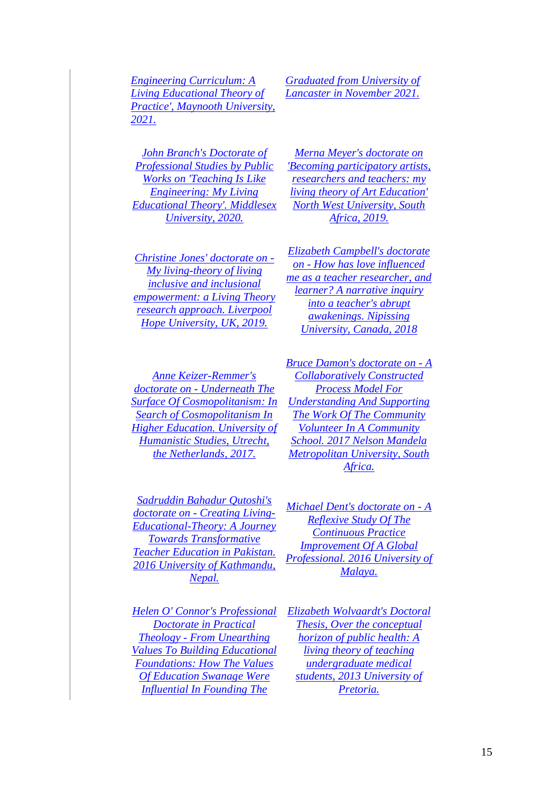*[Engineering Curriculum: A](http://www.actionresearch.net/living/russellphd2021.pdf)  [Living Educational Theory of](http://www.actionresearch.net/living/russellphd2021.pdf)  [Practice', Maynooth University,](http://www.actionresearch.net/living/russellphd2021.pdf)  [2021.](http://www.actionresearch.net/living/russellphd2021.pdf)* 

*[Graduated from University of](http://www.actionresearch.net/living/ABrigantiphd.pdf)  [Lancaster in November 2021.](http://www.actionresearch.net/living/ABrigantiphd.pdf)* 

*[John Branch's Doctorate of](http://www.actionresearch.net/living/branch/branchcontext.pdf)  [Professional Studies by Public](http://www.actionresearch.net/living/branch/branchcontext.pdf)  [Works on 'Teaching Is Like](http://www.actionresearch.net/living/branch/branchcontext.pdf)  [Engineering: My Living](http://www.actionresearch.net/living/branch/branchcontext.pdf)  [Educational Theory'. Middlesex](http://www.actionresearch.net/living/branch/branchcontext.pdf)  [University, 2020.](http://www.actionresearch.net/living/branch/branchcontext.pdf)* 

*[Christine Jones' doctorate on -](http://www.actionresearch.net/living/chrisphd/chrisphd.pdf) [My living-theory of living](http://www.actionresearch.net/living/chrisphd/chrisphd.pdf)  [inclusive and inclusional](http://www.actionresearch.net/living/chrisphd/chrisphd.pdf)  [empowerment: a Living Theory](http://www.actionresearch.net/living/chrisphd/chrisphd.pdf)  [research approach. Liverpool](http://www.actionresearch.net/living/chrisphd/chrisphd.pdf)  [Hope University, UK, 2019.](http://www.actionresearch.net/living/chrisphd/chrisphd.pdf)* 

*[Anne Keizer-Remmer's](http://www.actionresearch.net/writings/keizer/keizer.pdf)  doctorate on - [Underneath The](http://www.actionresearch.net/writings/keizer/keizer.pdf)  [Surface Of Cosmopolitanism: In](http://www.actionresearch.net/writings/keizer/keizer.pdf)  [Search of Cosmopolitanism In](http://www.actionresearch.net/writings/keizer/keizer.pdf)  [Higher Education. University of](http://www.actionresearch.net/writings/keizer/keizer.pdf)  [Humanistic Studies, Utrecht,](http://www.actionresearch.net/writings/keizer/keizer.pdf)  [the Netherlands, 2017.](http://www.actionresearch.net/writings/keizer/keizer.pdf)* 

*[Sadruddin Bahadur Qutoshi's](/Users/jack/Desktop/sadruddin.shtml)  doctorate on - [Creating Living-](/Users/jack/Desktop/sadruddin.shtml)[Educational-Theory: A Journey](/Users/jack/Desktop/sadruddin.shtml)  [Towards Transformative](/Users/jack/Desktop/sadruddin.shtml)  [Teacher Education in Pakistan.](/Users/jack/Desktop/sadruddin.shtml)  [2016 University of Kathmandu,](/Users/jack/Desktop/sadruddin.shtml)  [Nepal.](/Users/jack/Desktop/sadruddin.shtml)* 

*[Helen O' Connor's Professional](/Users/jack/Desktop/oconnordprof.shtml)  [Doctorate in Practical](/Users/jack/Desktop/oconnordprof.shtml)  Theology - [From Unearthing](/Users/jack/Desktop/oconnordprof.shtml)  [Values To Building Educational](/Users/jack/Desktop/oconnordprof.shtml)  [Foundations: How The Values](/Users/jack/Desktop/oconnordprof.shtml)  [Of Education Swanage Were](/Users/jack/Desktop/oconnordprof.shtml)  [Influential In Founding The](/Users/jack/Desktop/oconnordprof.shtml)* 

*[Merna Meyer's doctorate on](http://www.actionresearch.net/living/meyerphd2019.pdf)  ['Becoming participatory artists,](http://www.actionresearch.net/living/meyerphd2019.pdf)  [researchers and teachers: my](http://www.actionresearch.net/living/meyerphd2019.pdf)  [living theory of Art Education'](http://www.actionresearch.net/living/meyerphd2019.pdf)  [North West University, South](http://www.actionresearch.net/living/meyerphd2019.pdf) [Africa, 2019.](http://www.actionresearch.net/living/meyerphd2019.pdf)* 

*[Elizabeth Campbell's doctorate](http://www.actionresearch.net/living/campbellphd/campbellphd2018.pdf)  on - [How has love influenced](http://www.actionresearch.net/living/campbellphd/campbellphd2018.pdf)  [me as a teacher researcher, and](http://www.actionresearch.net/living/campbellphd/campbellphd2018.pdf)  [learner? A narrative inquiry](http://www.actionresearch.net/living/campbellphd/campbellphd2018.pdf)  [into a teacher's abrupt](http://www.actionresearch.net/living/campbellphd/campbellphd2018.pdf)  [awakenings. Nipissing](http://www.actionresearch.net/living/campbellphd/campbellphd2018.pdf)  [University, Canada, 2018](http://www.actionresearch.net/living/campbellphd/campbellphd2018.pdf)* 

*[Bruce Damon's doctorate on -](/Users/jack/Desktop/damons/damonsphd.pdf) A [Collaboratively Constructed](/Users/jack/Desktop/damons/damonsphd.pdf)  [Process Model For](/Users/jack/Desktop/damons/damonsphd.pdf)  [Understanding And Supporting](/Users/jack/Desktop/damons/damonsphd.pdf)  [The Work Of The Community](/Users/jack/Desktop/damons/damonsphd.pdf)  [Volunteer In A Community](/Users/jack/Desktop/damons/damonsphd.pdf)  School. 2017 [Nelson Mandela](/Users/jack/Desktop/damons/damonsphd.pdf)  [Metropolitan University, South](/Users/jack/Desktop/damons/damonsphd.pdf)  [Africa.](/Users/jack/Desktop/damons/damonsphd.pdf)* 

*[Michael Dent's doctorate on -](/Users/jack/Desktop/dent.shtml) A [Reflexive Study Of The](/Users/jack/Desktop/dent.shtml)  [Continuous Practice](/Users/jack/Desktop/dent.shtml)  [Improvement Of A Global](/Users/jack/Desktop/dent.shtml)  [Professional. 2016 University of](/Users/jack/Desktop/dent.shtml)  [Malaya.](/Users/jack/Desktop/dent.shtml)* 

*[Elizabeth Wolvaardt's Doctoral](http://www.actionresearch.net/writings/wolvaardtphd/Wolvaardtphd2013.pdf)  [Thesis, Over the conceptual](http://www.actionresearch.net/writings/wolvaardtphd/Wolvaardtphd2013.pdf)  [horizon of public health: A](http://www.actionresearch.net/writings/wolvaardtphd/Wolvaardtphd2013.pdf)  [living theory of teaching](http://www.actionresearch.net/writings/wolvaardtphd/Wolvaardtphd2013.pdf)  [undergraduate medical](http://www.actionresearch.net/writings/wolvaardtphd/Wolvaardtphd2013.pdf)  [students, 2013 University of](http://www.actionresearch.net/writings/wolvaardtphd/Wolvaardtphd2013.pdf)  [Pretoria.](http://www.actionresearch.net/writings/wolvaardtphd/Wolvaardtphd2013.pdf)*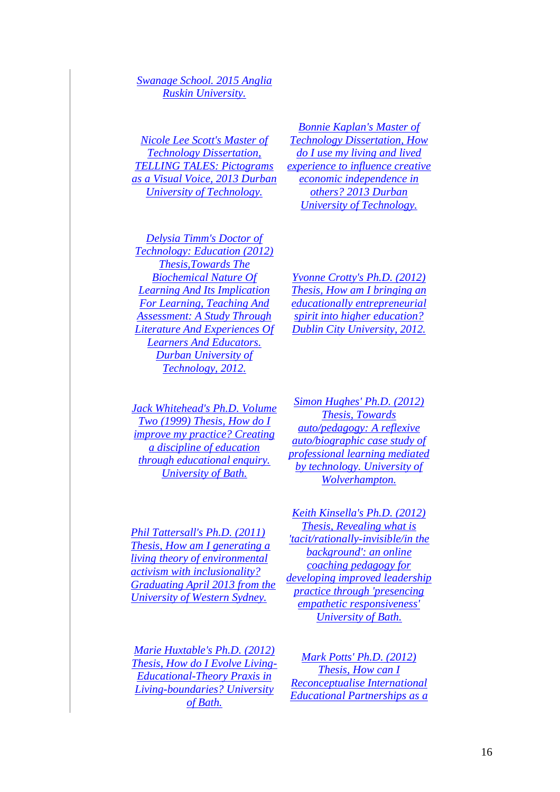## *[Swanage School. 2015 Anglia](/Users/jack/Desktop/oconnordprof.shtml)  [Ruskin University.](/Users/jack/Desktop/oconnordprof.shtml)*

*[Nicole Lee Scott's Master of](/Users/jack/Desktop/leeall+pict.pdf)  [Technology Dissertation,](/Users/jack/Desktop/leeall+pict.pdf)  [TELLING TALES: Pictograms](/Users/jack/Desktop/leeall+pict.pdf)  [as a Visual Voice, 2013 Durban](/Users/jack/Desktop/leeall+pict.pdf)  [University of Technology.](/Users/jack/Desktop/leeall+pict.pdf)* 

*[Bonnie Kaplan's Master of](http://www.actionresearch.net/living/kaplan/KaplanMTech032014.pdf)  [Technology Dissertation, How](http://www.actionresearch.net/living/kaplan/KaplanMTech032014.pdf)  [do I use my living and lived](http://www.actionresearch.net/living/kaplan/KaplanMTech032014.pdf)  [experience to influence creative](http://www.actionresearch.net/living/kaplan/KaplanMTech032014.pdf)  [economic independence in](http://www.actionresearch.net/living/kaplan/KaplanMTech032014.pdf)  [others? 2013 Durban](http://www.actionresearch.net/living/kaplan/KaplanMTech032014.pdf)  [University of Technology.](http://www.actionresearch.net/living/kaplan/KaplanMTech032014.pdf)* 

*[Delysia Timm's Doctor of](/Users/jack/Desktop/delysiatimm.shtml)  [Technology: Education \(2012\)](/Users/jack/Desktop/delysiatimm.shtml)  [Thesis,Towards The](/Users/jack/Desktop/delysiatimm.shtml)  [Biochemical Nature Of](/Users/jack/Desktop/delysiatimm.shtml)  [Learning And Its Implication](/Users/jack/Desktop/delysiatimm.shtml)  [For Learning, Teaching And](/Users/jack/Desktop/delysiatimm.shtml)  [Assessment: A Study Through](/Users/jack/Desktop/delysiatimm.shtml)  [Literature And Experiences Of](/Users/jack/Desktop/delysiatimm.shtml)  [Learners And Educators.](/Users/jack/Desktop/delysiatimm.shtml)  [Durban University of](/Users/jack/Desktop/delysiatimm.shtml)  [Technology, 2012.](/Users/jack/Desktop/delysiatimm.shtml)* 

*[Yvonne Crotty's Ph.D. \(2012\)](/Users/jack/Desktop/yvonnecrotty.shtml)  [Thesis, How am I bringing an](/Users/jack/Desktop/yvonnecrotty.shtml)  [educationally entrepreneurial](/Users/jack/Desktop/yvonnecrotty.shtml)  [spirit into higher education?](/Users/jack/Desktop/yvonnecrotty.shtml)  [Dublin City University, 2012.](/Users/jack/Desktop/yvonnecrotty.shtml)* 

*[Jack Whitehead's Ph.D. Volume](/Users/jack/Desktop/jackwhitehead2.shtml)  [Two \(1999\) Thesis, How do I](/Users/jack/Desktop/jackwhitehead2.shtml)  [improve my practice? Creating](/Users/jack/Desktop/jackwhitehead2.shtml)  [a discipline of education](/Users/jack/Desktop/jackwhitehead2.shtml)  [through educational enquiry.](/Users/jack/Desktop/jackwhitehead2.shtml)  [University of Bath.](/Users/jack/Desktop/jackwhitehead2.shtml)* 

*[Simon Hughes' Ph.D. \(2012\)](/Users/jack/Desktop/simonhughes.shtml)  [Thesis, Towards](/Users/jack/Desktop/simonhughes.shtml)  [auto/pedagogy: A reflexive](/Users/jack/Desktop/simonhughes.shtml)  [auto/biographic case study of](/Users/jack/Desktop/simonhughes.shtml)  [professional learning mediated](/Users/jack/Desktop/simonhughes.shtml)  [by technology. University of](/Users/jack/Desktop/simonhughes.shtml)  [Wolverhampton.](/Users/jack/Desktop/simonhughes.shtml)* 

*[Phil Tattersall's Ph.D. \(2011\)](/living/tattersallphd/philtphd.pdf)  [Thesis, How am I generating a](/living/tattersallphd/philtphd.pdf)  [living theory of environmental](/living/tattersallphd/philtphd.pdf)  [activism with inclusionality?](/living/tattersallphd/philtphd.pdf)  [Graduating April 2013 from the](/living/tattersallphd/philtphd.pdf)  [University of Western Sydney.](/living/tattersallphd/philtphd.pdf)* 

*[Keith Kinsella's Ph.D. \(2012\)](/Users/jack/Desktop/keithkinsella.shtml)  [Thesis, Revealing what is](/Users/jack/Desktop/keithkinsella.shtml)  ['tacit/rationally-invisible/in the](/Users/jack/Desktop/keithkinsella.shtml)  [background': an online](/Users/jack/Desktop/keithkinsella.shtml)  [coaching pedagogy for](/Users/jack/Desktop/keithkinsella.shtml)  [developing improved leadership](/Users/jack/Desktop/keithkinsella.shtml)  [practice through 'presencing](/Users/jack/Desktop/keithkinsella.shtml)  [empathetic responsiveness'](/Users/jack/Desktop/keithkinsella.shtml)  [University of Bath.](/Users/jack/Desktop/keithkinsella.shtml)* 

*[Marie Huxtable's Ph.D.](/living/mariehuxtable.shtml) (2012) [Thesis, How do I Evolve Living-](/living/mariehuxtable.shtml)[Educational-Theory Praxis in](/living/mariehuxtable.shtml)  [Living-boundaries? University](/living/mariehuxtable.shtml)  [of Bath.](/living/mariehuxtable.shtml)* 

*[Mark Potts' Ph.D. \(2012\)](/Users/jack/Desktop/markpotts.shtml)  [Thesis, How can I](/Users/jack/Desktop/markpotts.shtml)  [Reconceptualise International](/Users/jack/Desktop/markpotts.shtml)  [Educational Partnerships as a](/Users/jack/Desktop/markpotts.shtml)*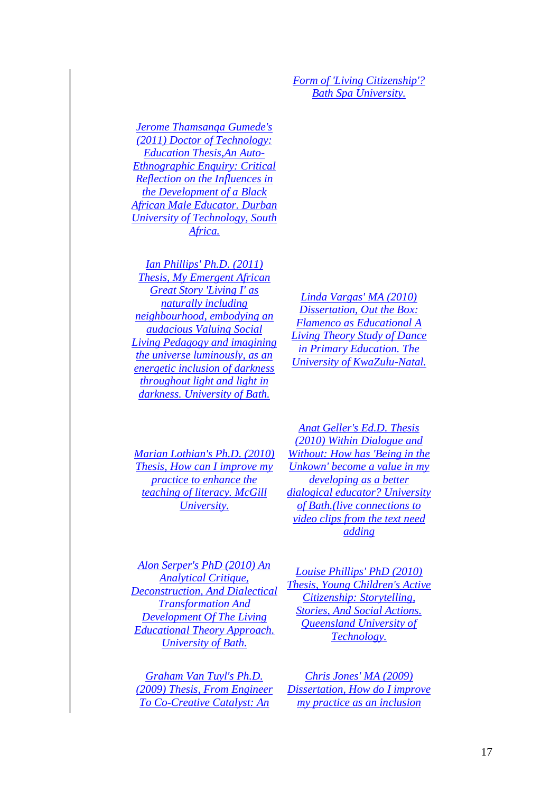### *[Form of 'Living Citizenship'?](/Users/jack/Desktop/markpotts.shtml)  [Bath Spa University.](/Users/jack/Desktop/markpotts.shtml)*

*[Jerome Thamsanqa Gumede's](http://www.actionresearch.net/living/gumede2011.pdf)  [\(2011\) Doctor of Technology:](http://www.actionresearch.net/living/gumede2011.pdf)  [Education Thesis,An Auto-](http://www.actionresearch.net/living/gumede2011.pdf)[Ethnographic Enquiry: Critical](http://www.actionresearch.net/living/gumede2011.pdf)  [Reflection on the Influences in](http://www.actionresearch.net/living/gumede2011.pdf)  [the Development of a Black](http://www.actionresearch.net/living/gumede2011.pdf)  [African Male Educator. Durban](http://www.actionresearch.net/living/gumede2011.pdf)  [University of Technology, South](http://www.actionresearch.net/living/gumede2011.pdf)  [Africa.](http://www.actionresearch.net/living/gumede2011.pdf)* 

*[Ian Phillips' Ph.D. \(2011\)](/writings/phillips.shtml)  [Thesis, My Emergent African](/writings/phillips.shtml)  [Great Story 'Living I' as](/writings/phillips.shtml)  [naturally including](/writings/phillips.shtml)  [neighbourhood, embodying an](/writings/phillips.shtml)  [audacious Valuing Social](/writings/phillips.shtml)  [Living Pedagogy and imagining](/writings/phillips.shtml)  [the universe luminously, as an](/writings/phillips.shtml)  [energetic inclusion of darkness](/writings/phillips.shtml)  [throughout light and light in](/writings/phillips.shtml)  [darkness. University of Bath.](/writings/phillips.shtml)* 

*[Linda Vargas' MA \(2010\)](/Users/jack/Desktop/vargas.shtml)  [Dissertation, Out the Box:](/Users/jack/Desktop/vargas.shtml)  [Flamenco as Educational A](/Users/jack/Desktop/vargas.shtml)  [Living Theory Study of Dance](/Users/jack/Desktop/vargas.shtml)  [in Primary Education. The](/Users/jack/Desktop/vargas.shtml)  [University of KwaZulu-Natal.](/Users/jack/Desktop/vargas.shtml)* 

*[Marian Lothian's Ph.D. \(2010\)](/Users/jack/Desktop/lothian.shtml)  [Thesis, How can I improve my](/Users/jack/Desktop/lothian.shtml)  [practice to enhance the](/Users/jack/Desktop/lothian.shtml)  [teaching of literacy. McGill](/Users/jack/Desktop/lothian.shtml)  [University.](/Users/jack/Desktop/lothian.shtml)* 

*[Anat Geller's Ed.D. Thesis](http://www.actionresearch.net/living/geller/anatgelleredd.pdf)  [\(2010\) Within Dialogue and](http://www.actionresearch.net/living/geller/anatgelleredd.pdf)  [Without: How has 'Being in the](http://www.actionresearch.net/living/geller/anatgelleredd.pdf)  [Unkown' become a value in my](http://www.actionresearch.net/living/geller/anatgelleredd.pdf)  [developing as a better](http://www.actionresearch.net/living/geller/anatgelleredd.pdf)  [dialogical educator? University](http://www.actionresearch.net/living/geller/anatgelleredd.pdf)  [of Bath.\(live connections to](http://www.actionresearch.net/living/geller/anatgelleredd.pdf)  [video clips from the text need](http://www.actionresearch.net/living/geller/anatgelleredd.pdf)  [adding](http://www.actionresearch.net/living/geller/anatgelleredd.pdf)* 

*[Alon Serper's PhD \(2010\) An](/Users/jack/Desktop/serper.shtml)  [Analytical Critique,](/Users/jack/Desktop/serper.shtml)  [Deconstruction, And Dialectical](/Users/jack/Desktop/serper.shtml)  [Transformation And](/Users/jack/Desktop/serper.shtml)  [Development Of The Living](/Users/jack/Desktop/serper.shtml)  [Educational Theory Approach.](/Users/jack/Desktop/serper.shtml)  [University of Bath.](/Users/jack/Desktop/serper.shtml)* 

*[Graham Van Tuyl's Ph.D.](/Users/jack/Desktop/gvt.shtml)  [\(2009\) Thesis, From Engineer](/Users/jack/Desktop/gvt.shtml)  [To Co-Creative Catalyst: An](/Users/jack/Desktop/gvt.shtml)* 

*[Louise Phillips' PhD \(2010\)](/Users/jack/Desktop/louisephillipsphd.shtml)  [Thesis, Young Children's Active](/Users/jack/Desktop/louisephillipsphd.shtml)  [Citizenship: Storytelling,](/Users/jack/Desktop/louisephillipsphd.shtml)  [Stories, And Social Actions.](/Users/jack/Desktop/louisephillipsphd.shtml)  [Queensland University of](/Users/jack/Desktop/louisephillipsphd.shtml)  [Technology.](/Users/jack/Desktop/louisephillipsphd.shtml)* 

*[Chris Jones' MA \(2009\)](/Users/jack/Desktop/cjmaok/cjma.htm)  [Dissertation, How do I improve](/Users/jack/Desktop/cjmaok/cjma.htm)  [my practice as](/Users/jack/Desktop/cjmaok/cjma.htm) an inclusion*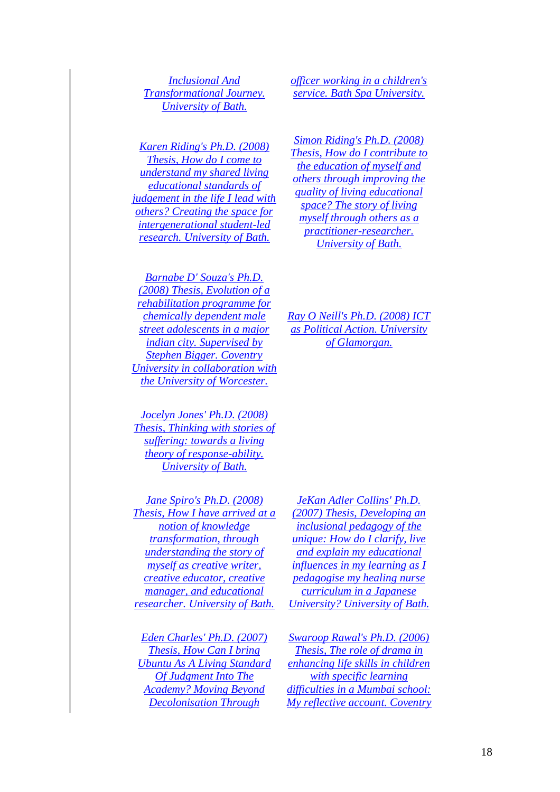*[Inclusional And](/Users/jack/Desktop/gvt.shtml)  [Transformational Journey.](/Users/jack/Desktop/gvt.shtml)  [University of Bath.](/Users/jack/Desktop/gvt.shtml)* 

*[Karen Riding's Ph.D. \(2008\)](/Users/jack/Desktop/karenridingphd.shtml)  [Thesis, How do I come to](/Users/jack/Desktop/karenridingphd.shtml)  [understand my shared living](/Users/jack/Desktop/karenridingphd.shtml)  [educational standards of](/Users/jack/Desktop/karenridingphd.shtml)  [judgement in the life I lead with](/Users/jack/Desktop/karenridingphd.shtml)  [others? Creating the space for](/Users/jack/Desktop/karenridingphd.shtml)  [intergenerational student-led](/Users/jack/Desktop/karenridingphd.shtml)  [research. University of Bath.](/Users/jack/Desktop/karenridingphd.shtml)* 

*[Barnabe D' Souza's Ph.D.](https://eprints.worc.ac.uk/512/1/Barnabe_DSouza_PhD.pdf)  [\(2008\) Thesis, Evolution of a](https://eprints.worc.ac.uk/512/1/Barnabe_DSouza_PhD.pdf)  [rehabilitation programme for](https://eprints.worc.ac.uk/512/1/Barnabe_DSouza_PhD.pdf)  [chemically dependent male](https://eprints.worc.ac.uk/512/1/Barnabe_DSouza_PhD.pdf)  [street adolescents in a major](https://eprints.worc.ac.uk/512/1/Barnabe_DSouza_PhD.pdf)  [indian city. Supervised by](https://eprints.worc.ac.uk/512/1/Barnabe_DSouza_PhD.pdf)  [Stephen Bigger. Coventry](https://eprints.worc.ac.uk/512/1/Barnabe_DSouza_PhD.pdf)  [University in collaboration with](https://eprints.worc.ac.uk/512/1/Barnabe_DSouza_PhD.pdf)  [the University of Worcester.](https://eprints.worc.ac.uk/512/1/Barnabe_DSouza_PhD.pdf)* 

*[Jocelyn Jones' Ph.D. \(2008\)](/Users/jack/Desktop/jocelynjonesphd.shtml)  [Thesis, Thinking with stories of](/Users/jack/Desktop/jocelynjonesphd.shtml)  [suffering: towards a living](/Users/jack/Desktop/jocelynjonesphd.shtml)  [theory of response-ability.](/Users/jack/Desktop/jocelynjonesphd.shtml)  [University of Bath.](/Users/jack/Desktop/jocelynjonesphd.shtml)* 

*[Jane Spiro's Ph.D. \(2008\)](/Users/jack/Desktop/janespirophd.shtml)  [Thesis, How I have arrived at a](/Users/jack/Desktop/janespirophd.shtml)  [notion of knowledge](/Users/jack/Desktop/janespirophd.shtml)  [transformation, through](/Users/jack/Desktop/janespirophd.shtml)  [understanding the story of](/Users/jack/Desktop/janespirophd.shtml)  [myself as creative writer,](/Users/jack/Desktop/janespirophd.shtml)  [creative educator, creative](/Users/jack/Desktop/janespirophd.shtml)  [manager, and educational](/Users/jack/Desktop/janespirophd.shtml)  [researcher. University of Bath.](/Users/jack/Desktop/janespirophd.shtml)* 

*[Eden Charles' Ph.D. \(2007\)](/Users/jack/Desktop/edenphd.shtml)  [Thesis, How Can I bring](/Users/jack/Desktop/edenphd.shtml)  [Ubuntu As A Living Standard](/Users/jack/Desktop/edenphd.shtml)  [Of Judgment Into The](/Users/jack/Desktop/edenphd.shtml)  [Academy? Moving Beyond](/Users/jack/Desktop/edenphd.shtml)  [Decolonisation Through](/Users/jack/Desktop/edenphd.shtml)* 

*[officer working in a children's](/Users/jack/Desktop/cjmaok/cjma.htm)  [service. Bath Spa University.](/Users/jack/Desktop/cjmaok/cjma.htm)* 

*[Simon Riding's Ph.D. \(2008\)](/Users/jack/Desktop/simonridingphd.shtml)  [Thesis, How do I contribute to](/Users/jack/Desktop/simonridingphd.shtml)  [the education of myself and](/Users/jack/Desktop/simonridingphd.shtml)  [others through improving the](/Users/jack/Desktop/simonridingphd.shtml)  [quality of living](/Users/jack/Desktop/simonridingphd.shtml) educational [space? The story of living](/Users/jack/Desktop/simonridingphd.shtml)  [myself through others as a](/Users/jack/Desktop/simonridingphd.shtml)  [practitioner-researcher.](/Users/jack/Desktop/simonridingphd.shtml)  [University of Bath.](/Users/jack/Desktop/simonridingphd.shtml)* 

*[Ray O Neill's Ph.D. \(2008\) ICT](http://www.ictaspoliticalaction.com/pages/chapters/contents.htm)  [as Political Action. University](http://www.ictaspoliticalaction.com/pages/chapters/contents.htm)  [of Glamorgan.](http://www.ictaspoliticalaction.com/pages/chapters/contents.htm)* 

*[JeKan Adler Collins' Ph.D.](/Users/jack/Desktop/jekan.shtml)  [\(2007\) Thesis, Developing an](/Users/jack/Desktop/jekan.shtml)  [inclusional pedagogy of the](/Users/jack/Desktop/jekan.shtml)  [unique: How do I clarify, live](/Users/jack/Desktop/jekan.shtml)  [and explain my educational](/Users/jack/Desktop/jekan.shtml)  [influences in my learning as I](/Users/jack/Desktop/jekan.shtml)  [pedagogise my healing nurse](/Users/jack/Desktop/jekan.shtml)  [curriculum in a Japanese](/Users/jack/Desktop/jekan.shtml)  [University? University of Bath.](/Users/jack/Desktop/jekan.shtml)* 

*[Swaroop Rawal's Ph.D. \(2006\)](/Users/jack/Desktop/rawal.shtml)  [Thesis, The role of drama in](/Users/jack/Desktop/rawal.shtml)  [enhancing life skills in children](/Users/jack/Desktop/rawal.shtml)  [with specific learning](/Users/jack/Desktop/rawal.shtml)  [difficulties in a Mumbai school:](/Users/jack/Desktop/rawal.shtml)  [My reflective account. Coventry](/Users/jack/Desktop/rawal.shtml)*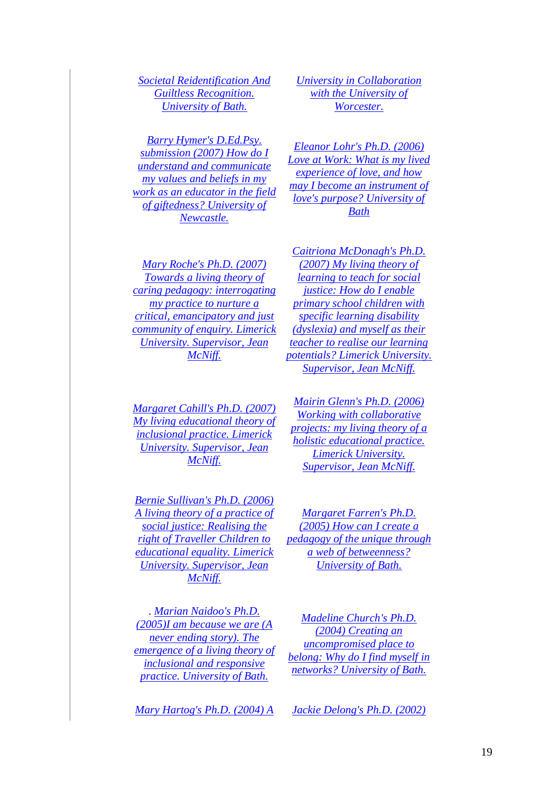*[Societal Reidentification And](/Users/jack/Desktop/edenphd.shtml)  [Guiltless Recognition.](/Users/jack/Desktop/edenphd.shtml)  [University of Bath.](/Users/jack/Desktop/edenphd.shtml)* 

*[Barry Hymer's D.Ed.Psy.](/Users/jack/Desktop/hymer.shtml)  [submission \(2007\) How do I](/Users/jack/Desktop/hymer.shtml)  [understand and communicate](/Users/jack/Desktop/hymer.shtml)  [my values and beliefs in my](/Users/jack/Desktop/hymer.shtml)  [work as an educator in the field](/Users/jack/Desktop/hymer.shtml)  [of giftedness? University of](/Users/jack/Desktop/hymer.shtml)  [Newcastle.](/Users/jack/Desktop/hymer.shtml)* 

*[University in Collaboration](/Users/jack/Desktop/rawal.shtml)  [with the University of](/Users/jack/Desktop/rawal.shtml)  [Worcester.](/Users/jack/Desktop/rawal.shtml)* 

*[Eleanor Lohr's Ph.D. \(2006\)](/Users/jack/Desktop/lohr.shtml)  [Love at Work: What is my lived](/Users/jack/Desktop/lohr.shtml)  [experience of love, and how](/Users/jack/Desktop/lohr.shtml)  [may I become an instrument of](/Users/jack/Desktop/lohr.shtml)  [love's purpose? University of](/Users/jack/Desktop/lohr.shtml)  [Bath](/Users/jack/Desktop/lohr.shtml)* 

*[Mary Roche's Ph.D. \(2007\)](http://www.jeanmcniff.com/items.asp?id=46)  [Towards a living theory of](http://www.jeanmcniff.com/items.asp?id=46)  [caring pedagogy: interrogating](http://www.jeanmcniff.com/items.asp?id=46)  [my practice to nurture a](http://www.jeanmcniff.com/items.asp?id=46)  [critical, emancipatory and just](http://www.jeanmcniff.com/items.asp?id=46)  [community of enquiry. Limerick](http://www.jeanmcniff.com/items.asp?id=46)  [University. Supervisor, Jean](http://www.jeanmcniff.com/items.asp?id=46)  [McNiff.](http://www.jeanmcniff.com/items.asp?id=46)* 

*[Caitriona McDonagh's Ph.D.](http://www.jeanmcniff.com/items.asp?id=48)  [\(2007\) My living theory of](http://www.jeanmcniff.com/items.asp?id=48)  [learning to teach for social](http://www.jeanmcniff.com/items.asp?id=48)  [justice: How do I enable](http://www.jeanmcniff.com/items.asp?id=48)  [primary school children with](http://www.jeanmcniff.com/items.asp?id=48)  [specific learning disability](http://www.jeanmcniff.com/items.asp?id=48)  [\(dyslexia\) and myself as their](http://www.jeanmcniff.com/items.asp?id=48)  [teacher to realise our learning](http://www.jeanmcniff.com/items.asp?id=48)  [potentials? Limerick University.](http://www.jeanmcniff.com/items.asp?id=48)  [Supervisor, Jean McNiff.](http://www.jeanmcniff.com/items.asp?id=48)* 

*[Margaret Cahill's Ph.D. \(2007\)](http://www.jeanmcniff.com/items.asp?id=49)  [My living educational theory of](http://www.jeanmcniff.com/items.asp?id=49)  [inclusional practice. Limerick](http://www.jeanmcniff.com/items.asp?id=49)  [University. Supervisor, Jean](http://www.jeanmcniff.com/items.asp?id=49)  [McNiff.](http://www.jeanmcniff.com/items.asp?id=49)* 

*[Mairin Glenn's Ph.D. \(2006\)](http://www.actionresearch.net/living/mairinglennphd.pdf)  [Working with collaborative](http://www.actionresearch.net/living/mairinglennphd.pdf)  [projects: my living theory of a](http://www.actionresearch.net/living/mairinglennphd.pdf)  [holistic educational practice.](http://www.actionresearch.net/living/mairinglennphd.pdf)  [Limerick University.](http://www.actionresearch.net/living/mairinglennphd.pdf)  [Supervisor, Jean McNiff.](http://www.actionresearch.net/living/mairinglennphd.pdf)* 

*[Bernie Sullivan's Ph.D. \(2006\)](http://www.jeanmcniff.com/items.asp?id=47)  [A living theory of a practice of](http://www.jeanmcniff.com/items.asp?id=47)  [social justice: Realising the](http://www.jeanmcniff.com/items.asp?id=47)  [right of Traveller Children to](http://www.jeanmcniff.com/items.asp?id=47)  [educational equality. Limerick](http://www.jeanmcniff.com/items.asp?id=47)  [University. Supervisor, Jean](http://www.jeanmcniff.com/items.asp?id=47)  [McNiff.](http://www.jeanmcniff.com/items.asp?id=47)* 

*[Margaret Farren's Ph.D.](/Users/jack/Desktop/farren.shtml)  [\(2005\) How can I create a](/Users/jack/Desktop/farren.shtml)  [pedagogy of the unique through](/Users/jack/Desktop/farren.shtml)  [a web of betweenness?](/Users/jack/Desktop/farren.shtml)  [University of Bath.](/Users/jack/Desktop/farren.shtml)* 

. *[Marian Naidoo's Ph.D.](/Users/jack/Desktop/naidoo.shtml)  [\(2005\)I am because we are \(A](/Users/jack/Desktop/naidoo.shtml)  [never ending story\). The](/Users/jack/Desktop/naidoo.shtml)  [emergence of a living theory of](/Users/jack/Desktop/naidoo.shtml)  [inclusional and responsive](/Users/jack/Desktop/naidoo.shtml)  [practice. University of Bath.](/Users/jack/Desktop/naidoo.shtml)* 

*[Mary Hartog's Ph.D. \(2004\) A](/Users/jack/Desktop/hartog.shtml) [Jackie Delong's Ph.D. \(2002\)](/Users/jack/Desktop/delong.shtml)* 

*[Madeline Church's Ph.D.](/Users/jack/Desktop/church.shtml)  [\(2004\) Creating an](/Users/jack/Desktop/church.shtml)  [uncompromised place to](/Users/jack/Desktop/church.shtml)  [belong: Why do I find myself in](/Users/jack/Desktop/church.shtml)  [networks? University of Bath.](/Users/jack/Desktop/church.shtml)*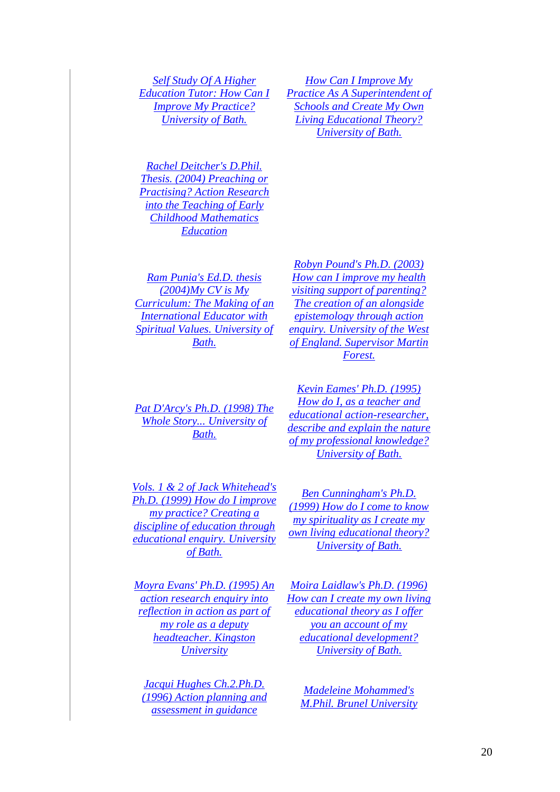*[Self Study Of A Higher](/Users/jack/Desktop/hartog.shtml)  [Education Tutor: How Can I](/Users/jack/Desktop/hartog.shtml)  [Improve My Practice?](/Users/jack/Desktop/hartog.shtml)  [University of Bath.](/Users/jack/Desktop/hartog.shtml)*

*[How Can I Improve My](/Users/jack/Desktop/delong.shtml)  [Practice As A Superintendent of](/Users/jack/Desktop/delong.shtml)  [Schools and Create My Own](/Users/jack/Desktop/delong.shtml)  [Living Educational Theory?](/Users/jack/Desktop/delong.shtml)  [University of Bath.](/Users/jack/Desktop/delong.shtml)*

*[Rachel Deitcher's D.Phil.](/Users/jack/Desktop/deitcher.shtml)  [Thesis. \(2004\) Preaching or](/Users/jack/Desktop/deitcher.shtml)  [Practising? Action Research](/Users/jack/Desktop/deitcher.shtml)  [into the Teaching of Early](/Users/jack/Desktop/deitcher.shtml)  [Childhood Mathematics](/Users/jack/Desktop/deitcher.shtml)  [Education](/Users/jack/Desktop/deitcher.shtml)* 

*[Ram Punia's Ed.D. thesis](/Users/jack/Desktop/punia.shtml)  [\(2004\)My CV is My](/Users/jack/Desktop/punia.shtml)  [Curriculum: The Making of an](/Users/jack/Desktop/punia.shtml)  [International Educator with](/Users/jack/Desktop/punia.shtml)  [Spiritual Values. University of](/Users/jack/Desktop/punia.shtml)  [Bath.](/Users/jack/Desktop/punia.shtml)* 

*[Robyn Pound's Ph.D. \(2003\)](/Users/jack/Desktop/pound.shtml)  [How can I improve my health](/Users/jack/Desktop/pound.shtml)  [visiting support of parenting?](/Users/jack/Desktop/pound.shtml)  The creation [of an alongside](/Users/jack/Desktop/pound.shtml)  [epistemology through action](/Users/jack/Desktop/pound.shtml)  [enquiry. University of the West](/Users/jack/Desktop/pound.shtml)  [of England. Supervisor Martin](/Users/jack/Desktop/pound.shtml)  [Forest.](/Users/jack/Desktop/pound.shtml)*

*[Pat D'Arcy's Ph.D. \(1998\) The](/Users/jack/Desktop/pat.shtml)  [Whole Story... University of](/Users/jack/Desktop/pat.shtml)  [Bath.](/Users/jack/Desktop/pat.shtml)*

*[Kevin Eames' Ph.D. \(1995\)](/Users/jack/Desktop/kevin.shtml)  [How do I, as a teacher and](/Users/jack/Desktop/kevin.shtml)  [educational action-researcher,](/Users/jack/Desktop/kevin.shtml)  [describe and explain the nature](/Users/jack/Desktop/kevin.shtml)  [of my professional knowledge?](/Users/jack/Desktop/kevin.shtml)  [University of Bath.](/Users/jack/Desktop/kevin.shtml)*

*[Vols. 1 & 2 of Jack Whitehead's](/Users/jack/Desktop/jack.shtml)  [Ph.D. \(1999\) How do I improve](/Users/jack/Desktop/jack.shtml)  [my practice? Creating a](/Users/jack/Desktop/jack.shtml)  [discipline of education through](/Users/jack/Desktop/jack.shtml)  [educational enquiry. University](/Users/jack/Desktop/jack.shtml)  [of Bath.](/Users/jack/Desktop/jack.shtml)* 

*[Ben Cunningham's Ph.D.](/Users/jack/Desktop/ben.shtml)  [\(1999\) How do I come to know](/Users/jack/Desktop/ben.shtml)  [my spirituality as I create my](/Users/jack/Desktop/ben.shtml)  [own living educational theory?](/Users/jack/Desktop/ben.shtml)  [University of Bath.](/Users/jack/Desktop/ben.shtml)*

*[Moyra Evans' Ph.D. \(1995\) An](/Users/jack/Desktop/moyra.shtml)  [action research enquiry into](/Users/jack/Desktop/moyra.shtml)  [reflection in action as part of](/Users/jack/Desktop/moyra.shtml)  [my role as a deputy](/Users/jack/Desktop/moyra.shtml)  [headteacher. Kingston](/Users/jack/Desktop/moyra.shtml)  [University](/Users/jack/Desktop/moyra.shtml)* 

*[Jacqui Hughes Ch.2.Ph.D.](/Users/jack/Desktop/jacqui.shtml)  [\(1996\) Action planning and](/Users/jack/Desktop/jacqui.shtml)  [assessment in guidance](/Users/jack/Desktop/jacqui.shtml)* 

*[Moira Laidlaw's Ph.D. \(1996\)](/Users/jack/Desktop/moira2.shtml)  [How can I create my own living](/Users/jack/Desktop/moira2.shtml)  [educational theory as I offer](/Users/jack/Desktop/moira2.shtml)  [you an account of my](/Users/jack/Desktop/moira2.shtml)  [educational development?](/Users/jack/Desktop/moira2.shtml)  [University of Bath.](/Users/jack/Desktop/moira2.shtml)* 

*[Madeleine Mohammed's](/Users/jack/Desktop/mmmphil.shtml)  [M.Phil. Brunel University](/Users/jack/Desktop/mmmphil.shtml)*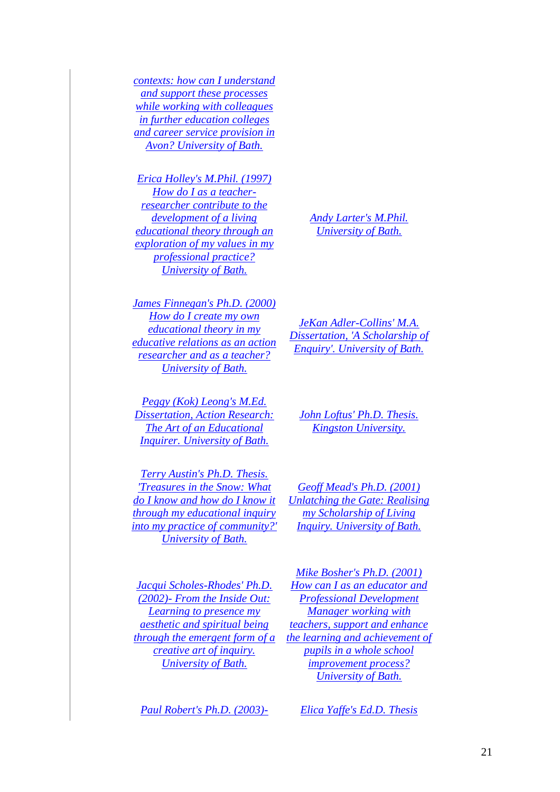*[contexts: how can I understand](/Users/jack/Desktop/jacqui.shtml)  [and support these processes](/Users/jack/Desktop/jacqui.shtml)  [while working with colleagues](/Users/jack/Desktop/jacqui.shtml)  in further [education colleges](/Users/jack/Desktop/jacqui.shtml)  [and career service provision in](/Users/jack/Desktop/jacqui.shtml)  [Avon? University of Bath.](/Users/jack/Desktop/jacqui.shtml)* 

*[Erica Holley's M.Phil. \(1997\)](/Users/jack/Desktop/erica.shtml)  [How do I as a teacher](/Users/jack/Desktop/erica.shtml)[researcher contribute to the](/Users/jack/Desktop/erica.shtml)  [development of a living](/Users/jack/Desktop/erica.shtml)  [educational theory through an](/Users/jack/Desktop/erica.shtml)  [exploration of my values in my](/Users/jack/Desktop/erica.shtml)  [professional practice?](/Users/jack/Desktop/erica.shtml)  [University of Bath.](/Users/jack/Desktop/erica.shtml)* 

*[Andy Larter's M.Phil.](/Users/jack/Desktop/andy.shtml)  [University of Bath.](/Users/jack/Desktop/andy.shtml)*

*[James Finnegan's Ph.D. \(2000\)](/Users/jack/Desktop/fin.shtml)  [How do I create my own](/Users/jack/Desktop/fin.shtml)  [educational theory in my](/Users/jack/Desktop/fin.shtml)  [educative relations as an action](/Users/jack/Desktop/fin.shtml)  [researcher and as a teacher?](/Users/jack/Desktop/fin.shtml)  [University of Bath.](/Users/jack/Desktop/fin.shtml)* 

*[Peggy \(Kok\) Leong's M.Ed.](/Users/jack/Desktop/peggy.shtml) [Dissertation, Action Research:](/Users/jack/Desktop/peggy.shtml)  [The Art of an Educational](/Users/jack/Desktop/peggy.shtml)  [Inquirer. University of Bath.](/Users/jack/Desktop/peggy.shtml)*

*[JeKan Adler-Collins' M.A.](http://www.actionresearch.net/living/jekanma.pdf)  [Dissertation, 'A Scholarship of](http://www.actionresearch.net/living/jekanma.pdf)  [Enquiry'. University of Bath.](http://www.actionresearch.net/living/jekanma.pdf)*

*[John Loftus' Ph.D. Thesis.](/Users/jack/Desktop/loftus.shtml)  [Kingston University.](/Users/jack/Desktop/loftus.shtml)*

*[Terry Austin's Ph.D. Thesis.](/Users/jack/Desktop/austin.shtml)  ['Treasures in the Snow: What](/Users/jack/Desktop/austin.shtml)  [do I know and how do I know it](/Users/jack/Desktop/austin.shtml)  [through my educational inquiry](/Users/jack/Desktop/austin.shtml)  [into my practice of community?'](/Users/jack/Desktop/austin.shtml)  [University of Bath.](/Users/jack/Desktop/austin.shtml)* 

*[Geoff Mead's Ph.D. \(2001\)](/Users/jack/Desktop/mead.shtml)  [Unlatching the Gate: Realising](/Users/jack/Desktop/mead.shtml)  [my Scholarship of Living](/Users/jack/Desktop/mead.shtml)  [Inquiry. University of Bath.](/Users/jack/Desktop/mead.shtml)* 

*[Jacqui Scholes-Rhodes' Ph.D.](/Users/jack/Desktop/rhodes.shtml)  (2002)- [From the Inside Out:](/Users/jack/Desktop/rhodes.shtml)  [Learning to presence my](/Users/jack/Desktop/rhodes.shtml)  [aesthetic and spiritual being](/Users/jack/Desktop/rhodes.shtml)  [through the emergent form of a](/Users/jack/Desktop/rhodes.shtml)  [creative art of inquiry.](/Users/jack/Desktop/rhodes.shtml)  [University of Bath.](/Users/jack/Desktop/rhodes.shtml)*

*[Paul Robert's Ph.D. \(2003\)-](/Users/jack/Desktop/roberts.shtml) [Elica Yaffe's Ed.D. Thesis](/Users/jack/Desktop/yaffe.shtml)* 

*[Mike Bosher's Ph.D. \(2001\)](/Users/jack/Desktop/bosher.shtml)  [How can I as an educator and](/Users/jack/Desktop/bosher.shtml)  [Professional Development](/Users/jack/Desktop/bosher.shtml)  [Manager working with](/Users/jack/Desktop/bosher.shtml)  [teachers, support and enhance](/Users/jack/Desktop/bosher.shtml)  [the learning and achievement of](/Users/jack/Desktop/bosher.shtml)  [pupils in a whole school](/Users/jack/Desktop/bosher.shtml)  [improvement process?](/Users/jack/Desktop/bosher.shtml)  [University of Bath.](/Users/jack/Desktop/bosher.shtml)*